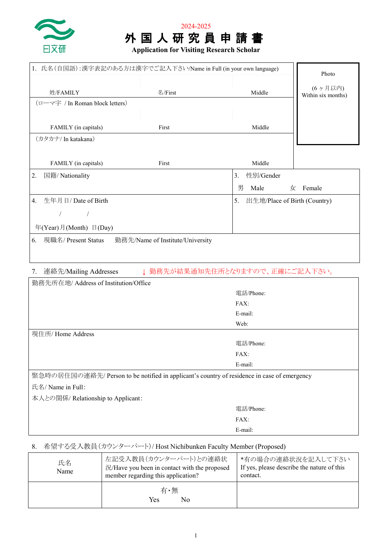



| 1. 氏名(自国語):漢字表記のある方は漢字でご記入下さい/Name in Full (in your own language)                           | Photo                              |                                 |                    |
|---------------------------------------------------------------------------------------------|------------------------------------|---------------------------------|--------------------|
|                                                                                             |                                    |                                 | (6ヶ月以内)            |
| 姓/FAMILY                                                                                    | 名/First                            | Middle                          | Within six months) |
| (ローマ字 / In Roman block letters)                                                             |                                    |                                 |                    |
|                                                                                             |                                    |                                 |                    |
| FAMILY (in capitals)                                                                        | First                              | Middle                          |                    |
| (カタカナ/ In katakana)                                                                         |                                    |                                 |                    |
|                                                                                             |                                    |                                 |                    |
| FAMILY (in capitals)                                                                        | First                              | Middle                          |                    |
| 国籍/ Nationality<br>2.                                                                       |                                    | 性別/Gender<br>3.                 |                    |
|                                                                                             |                                    | 男<br>Male<br>女                  | Female             |
| 生年月日/Date of Birth<br>4.                                                                    | 5.<br>出生地/Place of Birth (Country) |                                 |                    |
| $\sqrt{2}$<br>$\prime$                                                                      |                                    |                                 |                    |
| 年(Year)月(Month) 日(Day)                                                                      |                                    |                                 |                    |
| 現職名/ Present Status<br>6.                                                                   | 勤務先/Name of Institute/University   |                                 |                    |
|                                                                                             |                                    |                                 |                    |
|                                                                                             |                                    |                                 |                    |
| 連絡先/Mailing Addresses<br>7.                                                                 |                                    | ↓ 勤務先が結果通知先住所となりますので、正確にご記入下さい。 |                    |
| 勤務先所在地/ Address of Institution/Office                                                       |                                    |                                 |                    |
|                                                                                             |                                    | 電話/Phone:                       |                    |
| FAX:                                                                                        |                                    |                                 |                    |
|                                                                                             |                                    | E-mail:                         |                    |
|                                                                                             |                                    | Web:                            |                    |
| 現住所/ Home Address                                                                           |                                    | 電話/Phone:                       |                    |
|                                                                                             |                                    | FAX:                            |                    |
| E-mail:                                                                                     |                                    |                                 |                    |
| 緊急時の居住国の連絡先/ Person to be notified in applicant's country of residence in case of emergency |                                    |                                 |                    |
| 氏名/ Name in Full:                                                                           |                                    |                                 |                    |
| 本人との関係/ Relationship to Applicant:                                                          |                                    |                                 |                    |
|                                                                                             |                                    | 電話/Phone:                       |                    |
|                                                                                             |                                    | FAX:                            |                    |
|                                                                                             |                                    | E-mail:                         |                    |

# 8. 希望する受入教員(カウンターパート)/ Host Nichibunken Faculty Member (Proposed)

| 氏名<br>Name | 左記受入教員(カウンターパート)との連絡状<br>況/Have you been in contact with the proposed<br>member regarding this application? | *有の場合の連絡状況を記入して下さい<br>If yes, please describe the nature of this<br>contact. |  |
|------------|-------------------------------------------------------------------------------------------------------------|------------------------------------------------------------------------------|--|
|            | 有·無<br>No.<br>Yes                                                                                           |                                                                              |  |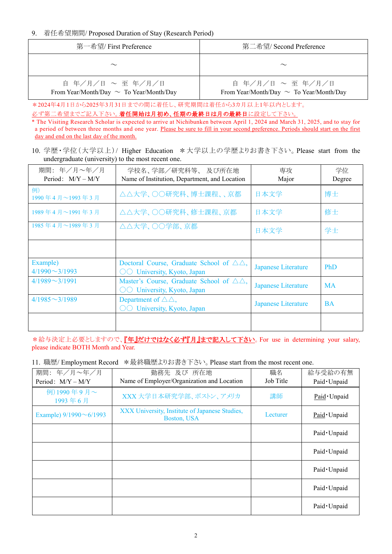### 9. 着任希望期間/ Proposed Duration of Stay (Research Period)

| 第一希望/ First Preference                                            | 第二希望/ Second Preference                                           |
|-------------------------------------------------------------------|-------------------------------------------------------------------|
| $\sim$                                                            | $\sim$                                                            |
| 自 年/月/日 ~ 至 年/月/日<br>From Year/Month/Day $\sim$ To Year/Month/Day | 自 年/月/日 ~ 至 年/月/日<br>From Year/Month/Day $\sim$ To Year/Month/Day |

\*2024年4月1日から2025年3月31日までの間に着任し、研究期間は着任から3カ月以上1年以内とします。

のず第二希望までご記入下さい。着任開始は月初め、任期の最終日は月の最終日に設定して下さい。

\* The Visiting Research Scholar is expected to arrive at Nichibunken between April 1, 2024 and March 31, 2025, and to stay for a period of between three months and one year. Please be sure to fill in your second preference. Periods should start on the first day and end on the last day of the month.

10. 学歴・学位(大学以上)/ Higher Education \*大学以上の学歴よりお書き下さい。Please start from the undergraduate (university) to the most recent one.

| 期間: 年/月~年/月<br>Period: $M/Y - M/Y$ | 学校名、学部/研究科等、及び所在地<br>Name of Institution, Department, and Location                                                           | 専攻<br>Major                | 学位<br>Degree |
|------------------------------------|------------------------------------------------------------------------------------------------------------------------------|----------------------------|--------------|
| 例)<br>1990年4月~1993年3月              | △△大学、○○研究科、博士課程、、京都                                                                                                          | 日本文学                       | 博士           |
| 1989年4月~1991年3月                    | △△大学、○○研究科、修士課程、京都                                                                                                           | 日本文学                       | 修士           |
| 1985年4月~1989年3月                    | △△大学、○○学部、京都                                                                                                                 | 日本文学                       | 学士           |
|                                    |                                                                                                                              |                            |              |
| Example)<br>$4/1990 \sim 3/1993$   | Doctoral Course, Graduate School of $\triangle \triangle$ ,<br>$\circlearrowright\circlearrowright$ University, Kyoto, Japan | Japanese Literature        | <b>PhD</b>   |
| $4/1989 \sim 3/1991$               | Master's Course, Graduate School of $\triangle \triangle$ ,<br>$\circlearrowright\circlearrowright$ University, Kyoto, Japan | <b>Japanese Literature</b> | <b>MA</b>    |
| $4/1985 \sim 3/1989$               | Department of $\triangle \triangle$ ,<br>$\bigcirc$ University, Kyoto, Japan                                                 | <b>Japanese Literature</b> | <b>BA</b>    |
|                                    |                                                                                                                              |                            |              |

\*給与決定上必要としますので、『年』だけではなく必ず『月』まで記入して下さい。For use in determining your salary, please indicate BOTH Month and Year.

11. 職歴/ Employment Record \*最終職歴よりお書き下さい。Please start from the most recent one.

| 期間: 年/月~年/月<br>Period: $M/Y - M/Y$ | 勤務先 及び 所在地<br>Name of Employer/Organization and Location      | 職名<br>Job Title | 給与受給の有無<br>Paid · Unpaid |
|------------------------------------|---------------------------------------------------------------|-----------------|--------------------------|
| 例)1990年9月~<br>1993年6月              | XXX 大学日本研究学部、ボストン、アメリカ                                        | 講師              | Paid · Unpaid            |
| Example) $9/1990 \sim 6/1993$      | XXX University, Institute of Japanese Studies,<br>Boston, USA | Lecturer        | Paid · Unpaid            |
|                                    |                                                               |                 | Paid · Unpaid            |
|                                    |                                                               |                 | Paid · Unpaid            |
|                                    |                                                               |                 | Paid · Unpaid            |
|                                    |                                                               |                 | Paid · Unpaid            |
|                                    |                                                               |                 | Paid · Unpaid            |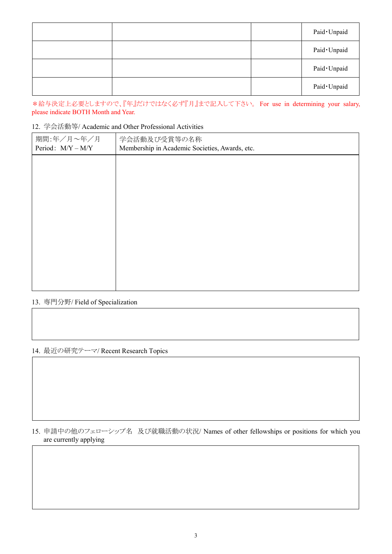|  | Paid · Unpaid |
|--|---------------|
|  | Paid · Unpaid |
|  | Paid · Unpaid |
|  | Paid · Unpaid |

\*給与決定上必要としますので、『年』だけではなく必ず『月』まで記入して下さい。 For use in determining your salary, please indicate BOTH Month and Year.

## 12. 学会活動等/ Academic and Other Professional Activities

| 期間:年/月~年/月<br>Period: M/Y - M/Y | 学会活動及び受賞等の名称<br>Membership in Academic Societies, Awards, etc. |  |  |
|---------------------------------|----------------------------------------------------------------|--|--|
|                                 |                                                                |  |  |
|                                 |                                                                |  |  |
|                                 |                                                                |  |  |
|                                 |                                                                |  |  |
|                                 |                                                                |  |  |
|                                 |                                                                |  |  |
|                                 |                                                                |  |  |

### 13. 専門分野/ Field of Specialization

# 14. 最近の研究テーマ/ Recent Research Topics

15. 申請中の他のフェローシップ名 及び就職活動の状況/ Names of other fellowships or positions for which you are currently applying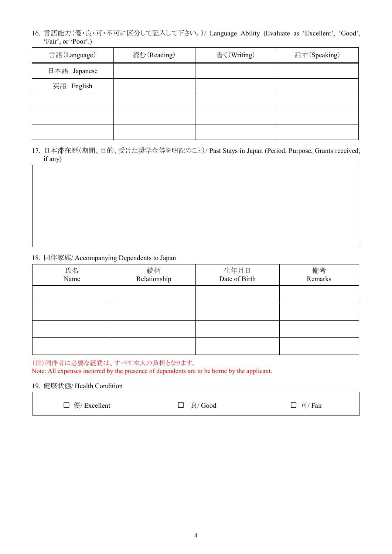16. 言語能力(優・良・可・不可に区分して記入して下さい。)/ Language Ability (Evaluate as 'Excellent', 'Good', 'Fair', or 'Poor'.)

| 言語(Language) | 読む (Reading) | 書く(Writing) | 話す(Speaking) |
|--------------|--------------|-------------|--------------|
| 日本語 Japanese |              |             |              |
| 英語 English   |              |             |              |
|              |              |             |              |
|              |              |             |              |
|              |              |             |              |

17. 日本滞在歴(期間、目的、受けた奨学金等を明記のこと)/ Past Stays in Japan (Period, Purpose, Grants received, if any)

#### 18. 同伴家族/ Accompanying Dependents to Japan

| 氏名<br>Name | 続柄<br>Relationship | 生年月日<br>Date of Birth | 備考<br>Remarks |
|------------|--------------------|-----------------------|---------------|
|            |                    |                       |               |
|            |                    |                       |               |
|            |                    |                       |               |
|            |                    |                       |               |

(注)同伴者に必要な経費は、すべて本人の負担となります。

Note: All expenses incurred by the presence of dependents are to be borne by the applicant.

#### 19. 健康状態/ Health Condition

□ 優/ Excellent □ 良/ Good □ 可/ Fair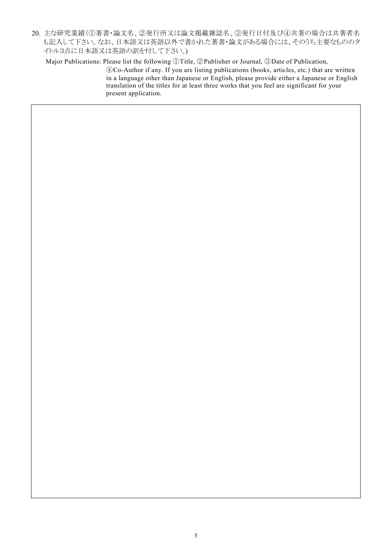20. 主な研究業績(①著書・論文名、②発行所又は論文掲載雑誌名、③発行日付及び④共著の場合は共著者名 も記入して下さい。なお、日本語又は英語以外で書かれた著書・論文がある場合には、そのうち主要なもののタ イトル3点に日本語又は英語の訳を付して下さい。)

Major Publications: Please list the following ①Title, ②Publisher or Journal, ③Date of Publication,

④Co-Author if any. If you are listing publications (books, articles, etc.) that are written in a language other than Japanese or English, please provide either a Japanese or English translation of the titles for at least three works that you feel are significant for your present application.